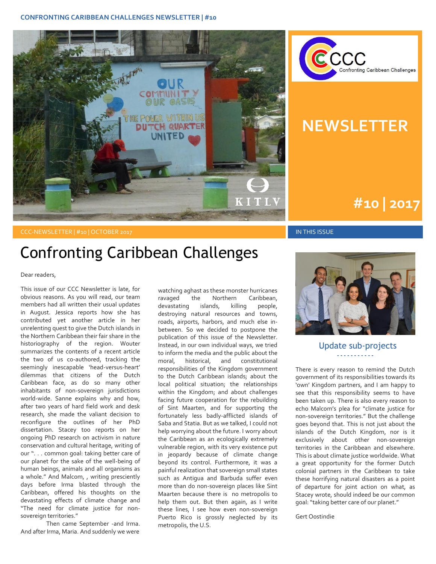#### **CONFRONTING CARIBBEAN CHALLENGES NEWSLETTER | #10**





## **NEWSLETTER**

# **#1 | 2015 #10 | 2017**

#### CCC-NEWSLETTER | #10 | OCTOBER 2017 IN THIS ISSUE

### Confronting Caribbean Challenges

Dear readers,

This issue of our CCC Newsletter is late, for obvious reasons. As you will read, our team members had all written their usual updates in August. Jessica reports how she has contributed yet another article in her unrelenting quest to give the Dutch islands in the Northern Caribbean their fair share in the historiography of the region. Wouter summarizes the contents of a recent article the two of us co-authored, tracking the seemingly inescapable 'head-versus-heart' dilemmas that citizens of the Dutch Caribbean face, as do so many other inhabitants of non-sovereign jurisdictions world-wide. Sanne explains why and how, after two years of hard field work and desk research, she made the valiant decision to reconfigure the outlines of her PhD dissertation. Stacey too reports on her ongoing PhD research on activism in nature conservation and cultural heritage, writing of our ". . . common goal: taking better care of our planet for the sake of the well-being of human beings, animals and all organisms as a whole." And Malcom, , writing presciently days before Irma blasted through the Caribbean, offered his thoughts on the devastating effects of climate change and "The need for climate justice for nonsovereign territories."

Then came September -and Irma. And after Irma, Maria. And suddenly we were

watching aghast as these monster hurricanes ravaged the Northern Caribbean, devastating islands, killing people, destroying natural resources and towns, roads, airports, harbors, and much else inbetween. So we decided to postpone the publication of this issue of the Newsletter. Instead, in our own individual ways, we tried to inform the media and the public about the moral, historical, and constitutional responsibilities of the Kingdom government to the Dutch Caribbean islands; about the local political situation; the relationships within the Kingdom; and about challenges facing future cooperation for the rebuilding of Sint Maarten, and for supporting the fortunately less badly-afflicted islands of Saba and Statia. But as we talked, I could not help worrying about the future. I worry about the Caribbean as an ecologically extremely vulnerable region, with its very existence put in jeopardy because of climate change beyond its control. Furthermore, it was a painful realization that sovereign small states such as Antigua and Barbuda suffer even more than do non-sovereign places like Sint Maarten because there is no metropolis to help them out. But then again, as I write these lines, I see how even non-sovereign Puerto Rico is grossly neglected by its metropolis, the U.S.



Update sub-projects **- - - - - - - - - - -**

There is every reason to remind the Dutch government of its responsibilities towards its 'own' Kingdom partners, and I am happy to see that this responsibility seems to have been taken up. There is also every reason to echo Malcom's plea for "climate justice for non-sovereign territories." But the challenge goes beyond that. This is not just about the islands of the Dutch Kingdom, nor is it exclusively about other non-sovereign territories in the Caribbean and elsewhere. This is about climate justice worldwide. What a great opportunity for the former Dutch colonial partners in the Caribbean to take these horrifying natural disasters as a point of departure for joint action on what, as Stacey wrote, should indeed be our common goal: "taking better care of our planet."

Gert Oostindie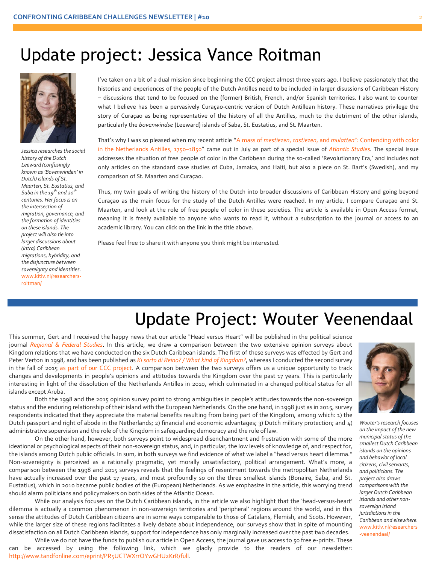#### Update project: Jessica Vance Roitman



*Jessica researches the social history of the Dutch Leeward (confusingly known as 'Bovenwinden' in Dutch) islands of St. Maarten, St. Eustatius, and Saba in the 19th and 20th centuries. Her focus is on the intersection of migration, governance, and the formation of identities on these islands. The project will also tie into larger discussions about (intra) Caribbean migrations, hybridity, and the disjuncture between sovereignty and identities.* [www.kitlv.nl/researchers](http://www.kitlv.nl/researchers-roitman/)[roitman/](http://www.kitlv.nl/researchers-roitman/)

what I believe has been a pervasively Curaçao-centric version of Dutch Antillean history. These narratives privilege the<br>story of Curacao as being representative of the history of all the Antilles. much to the detriment of I've taken on a bit of a dual mission since beginning the CCC project almost three years ago. I believe passionately that the histories and experiences of the people of the Dutch Antilles need to be included in larger disussions of Caribbean History – discussions that tend to be focused on the (former) British, French, and/or Spanish territories. I also want to counter story of Curaçao as being representative of the history of all the Antilles, much to the detriment of the other islands, particularly the *bovenwindse* (Leeward) islands of Saba, St. Eustatius, and St. Maarten.

> That's why I was so pleased when my recent article "A mass of *mestiezen*, *castiezen*, and *mulatten*[": Contending with color](http://www.tandfonline.com/doi/full/10.1080/14788810.2017.1318022)  [in the Netherlands Antilles, 1750](http://www.tandfonline.com/doi/full/10.1080/14788810.2017.1318022)–1850" came out in July as part of a special issue of *[Atlantic Studies.](http://www.tandfonline.com/toc/rjas20/current)* The special issue addresses the situation of free people of color in the Caribbean during the so-called 'Revolutionary Era,' and includes not only articles on the standard case studies of Cuba, Jamaica, and Haiti, but also a piece on St. Bart's (Swedish), and my comparison of St. Maarten and Curaçao.

> Thus, my twin goals of writing the history of the Dutch into broader discussions of Caribbean History and going beyond Curaçao as the main focus for the study of the Dutch Antilles were reached. In my article, I compare Curaçao and St. Maarten, and look at the role of free people of color in these societies. The article is available in Open Access format, meaning it is freely available to anyone who wants to read it, without a subscription to the journal or access to an academic library. You can click on the link in the title above.

Please feel free to share it with anyone you think might be interested.

### Update Project: Wouter Veenendaal

This summer, Gert and I received the happy news that our article "Head versus Heart" will be published in the political science journal *[Regional & Federal Studies](http://www.tandfonline.com/loi/frfs20)*. In this article, we draw a comparison between the two extensive opinion surveys about Kingdom relations that we have conducted on the six Dutch Caribbean islands. The first of these surveys was effected by Gert and Peter Verton in 1998, and has been published as *[Ki sorto di Reino? / What kind of Kingdom?](https://www.jstor.org/stable/41849891)*, whereas I conducted the second survey in the fall of 2015 [as part of our CCC project.](https://www.google.nl/url?sa=t&rct=j&q=&esrc=s&source=web&cd=2&cad=rja&uact=8&ved=0ahUKEwjlgILHmJDWAhVHUlAKHZ4jDowQFggxMAE&url=http%3A%2F%2Fwww.kitlv.nl%2Fwp-content%2Fuploads%2F2016%2F04%2FEindrapport-CCC-Opinieonderzoek.pdf&usg=AFQjCNHVRab2PcUlM1q6B5IIBjrnwOckEw) A comparison between the two surveys offers us a unique opportunity to track changes and developments in people's opinions and attitudes towards the Kingdom over the past 17 years. This is particularly interesting in light of the dissolution of the Netherlands Antilles in 2010, which culminated in a changed political status for all islands except Aruba.

Both the 1998 and the 2015 opinion survey point to strong ambiguities in people's attitudes towards the non-sovereign status and the enduring relationship of their island with the European Netherlands. On the one hand, in 1998 just as in 2015, survey respondents indicated that they appreciate the material benefits resulting from being part of the Kingdom, among which: 1) the Dutch passport and right of abode in the Netherlands; 2) financial and economic advantages; 3) Dutch military protection; and 4) administrative supervision and the role of the Kingdom in safeguarding democracy and the rule of law.

On the other hand, however, both surveys point to widespread disenchantment and frustration with some of the more ideational or psychological aspects of their non-sovereign status, and, in particular, the low levels of knowledge of, and respect for, the islands among Dutch public officials. In sum, in both surveys we find evidence of what we label a "head versus heart dilemma." Non-sovereignty is perceived as a rationally pragmatic, yet morally unsatisfactory, political arrangement. What's more, a comparison between the 1998 and 2015 surveys reveals that the feelings of resentment towards the metropolitan Netherlands have actually increased over the past 17 years, and most profoundly so on the three smallest islands (Bonaire, Saba, and St. Eustatius), which in 2010 became public bodies of the (European) Netherlands. As we emphasize in the article, this worrying trend should alarm politicians and policymakers on both sides of the Atlantic Ocean.

While our analysis focuses on the Dutch Caribbean islands, in the article we also highlight that the 'head-versus-heart' dilemma is actually a common phenomenon in non-sovereign territories and 'peripheral' regions around the world, and in this sense the attitudes of Dutch Caribbean citizens are in some ways comparable to those of Catalans, Flemish, and Scots. However, while the larger size of these regions facilitates a lively debate about independence, our surveys show that in spite of mounting dissatisfaction on all Dutch Caribbean islands, support for independence has only marginally increased over the past two decades.

While we do not have the funds to publish our article in Open Access, the journal gave us access to 50 free e-prints. These can be accessed by using the following link, which we gladly provide to the readers of our newsletter: [http://www.tandfonline.com/eprint/PR5UCTWXrrQYwGHU2KrR/full.](http://www.tandfonline.com/eprint/PR5UCTWXrrQYwGHU2KrR/full)



*Wouter's research focuses on the impact of the new municipal status of the smallest Dutch Caribbean islands on the opinions and behavior of local citizens, civil servants, and politicians. The project also draws comparisons with the larger Dutch Caribbean islands and other nonsovereign island jurisdictions in the Caribbean and elsewhere.* [www.kitlv.nl/researchers](http://www.kitlv.nl/researchers-veenendaal/) [-veenendaal/](http://www.kitlv.nl/researchers-veenendaal/)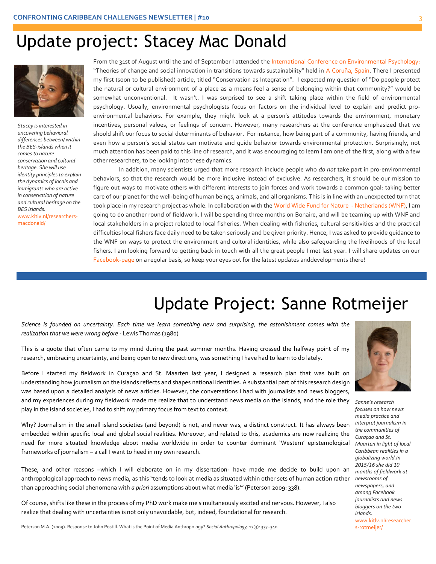# Update project: Stacey Mac Donald



*Stacey is interested in uncovering behavioral differences between/ within the BES-islands when it comes to nature conservation and cultural heritage. She will use identity principles to explain the dynamics of locals and immigrants who are active in conservation of nature and cultural heritage on the BES islands.* [www.kitlv.nl/researchers-](http://www.kitlv.nl/researchers-macdonald/)

[macdonald/](http://www.kitlv.nl/researchers-macdonald/)

From the 31st of August until the 2nd of September I attended the [International Conference on Environmental Psychology:](http://www.icep2017.org/) "Theories of change and social innovation in transitions towards sustainability" held in [A Coruña, Spain.](https://www.google.nl/maps/place/A+Coru%C3%B1a,+Spain/@43.3618688,-8.4477031,13z/data=!3m1!4b1!4m5!3m4!1s0xd2e7cfcf174574d:0x6a47350d095cdfee!8m2!3d43.3623436!4d-8.4115401) There I presented my first (soon to be published) article, titled "Conservation as Integration". I expected my question of "Do people protect the natural or cultural environment of a place as a means feel a sense of belonging within that community?" would be somewhat unconventional. It wasn't. I was surprised to see a shift taking place within the field of environmental psychology. Usually, environmental psychologists focus on factors on the individual level to explain and predict proenvironmental behaviors. For example, they might look at a person's attitudes towards the environment, monetary incentives, personal values, or feelings of concern. However, many researchers at the conference emphasized that we should shift our focus to social determinants of behavior. For instance, how being part of a community, having friends, and even how a person's social status can motivate and guide behavior towards environmental protection. Surprisingly, not much attention has been paid to this line of research, and it was encouraging to learn I am one of the first, along with a few other researchers, to be looking into these dynamics.

In addition, many scientists urged that more research include people who *do not* take part in pro-environmental behaviors, so that the research would be more inclusive instead of exclusive. As researchers, it should be our mission to figure out ways to motivate others with different interests to join forces and work towards a common goal: taking better care of our planet for the well-being of human beings, animals, and all organisms. This is in line with an unexpected turn that took place in my research project as whole. In collaboration with the [World Wide Fund for Nature -](https://www.wnf.nl/wat-wnf-doet/gebieden/caribisch-gebied.htm) Netherlands (WNF), I am going to do another round of fieldwork. I will be spending three months on Bonaire, and will be teaming up with WNF and local stakeholders in a project related to local fisheries. When dealing with fisheries, cultural sensitivities and the practical difficulties local fishers face daily need to be taken seriously and be given priority. Hence, I was asked to provide guidance to the WNF on ways to protect the environment and cultural identities, while also safeguarding the livelihoods of the local fishers. I am looking forward to getting back in touch with all the great people I met last year. I will share updates on our [Facebook-page](https://www.facebook.com/ConfrontingCaribbeanChallenges/?ref=aymt_homepage_panel) on a regular basis, so keep your eyes out for the latest updates anddevelopments there!

# Update Project: Sanne Rotmeijer

*Science is founded on uncertainty. Each time we learn something new and surprising, the astonishment comes with the realization that we were wrong before* - Lewis Thomas (1980)

This is a quote that often came to my mind during the past summer months. Having crossed the halfway point of my research, embracing uncertainty, and being open to new directions, was something I have had to learn to do lately.

Before I started my fieldwork in Curaçao and St. Maarten last year, I designed a research plan that was built on understanding how journalism on the islands reflects and shapes national identities. A substantial part of this research design was based upon a detailed analysis of news articles. However, the conversations I had with journalists and news bloggers, and my experiences during my fieldwork made me realize that to understand news media on the islands, and the role they *Sanne's research*  play in the island societies, I had to shift my primary focus from text to context.

Why? Journalism in the small island societies (and beyond) is not, and never was, a distinct construct. It has always been embedded within specific local and global social realities. Moreover, and related to this, academics are now realizing the need for more situated knowledge about media worldwide in order to counter dominant 'Western' epistemological frameworks of journalism – a call I want to heed in my own research.

These, and other reasons –which I will elaborate on in my dissertation- have made me decide to build upon an anthropological approach to news media, as this "tends to look at media as situated within other sets of human action rather *newsrooms of*  than approaching social phenomena with *a priori* assumptions about what media 'is'" (Peterson 2009: 338).

Of course, shifts like these in the process of my PhD work make me simultaneously excited and nervous. However, I also realize that dealing with uncertainties is not only unavoidable, but, indeed, foundational for research.

Peterson M.A. (2009). Response to John Postill. What is the Point of Media Anthropology? *Social Anthropology,* 17(3): 337–340



*focuses on how news media practice and interpret journalism in the communities of Curaçao and St. Maarten in light of local Caribbean realities in a globalizing world.In 2015/16 she did 10 months of fieldwork at newspapers, and among Facebook journalists and news bloggers on the two islands.*  [www.kitlv.nl/researcher](http://www.kitlv.nl/researchers-rotmeijer/) [s-rotmeijer/](http://www.kitlv.nl/researchers-rotmeijer/)